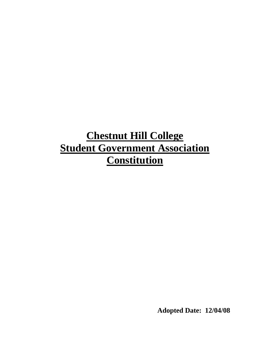# **Chestnut Hill College Student Government Association Constitution**

**Adopted Date: 12/04/08**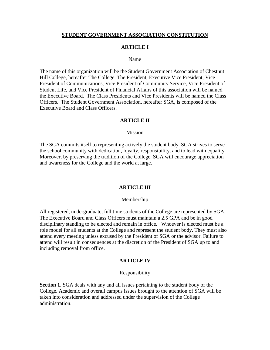#### **STUDENT GOVERNMENT ASSOCIATION CONSTITUTION**

#### **ARTICLE I**

#### Name

The name of this organization will be the Student Government Association of Chestnut Hill College, hereafter The College. The President, Executive Vice President, Vice President of Communications, Vice President of Community Service, Vice President of Student Life, and Vice President of Financial Affairs of this association will be named the Executive Board. The Class Presidents and Vice Presidents will be named the Class Officers. The Student Government Association, hereafter SGA, is composed of the Executive Board and Class Officers.

#### **ARTICLE II**

#### Mission

The SGA commits itself to representing actively the student body. SGA strives to serve the school community with dedication, loyalty, responsibility, and to lead with equality. Moreover, by preserving the tradition of the College, SGA will encourage appreciation and awareness for the College and the world at large.

#### **ARTICLE III**

#### Membership

All registered, undergraduate, full time students of the College are represented by SGA. The Executive Board and Class Officers must maintain a 2.5 GPA and be in good disciplinary standing to be elected and remain in office. Whoever is elected must be a role model for all students at the College and represent the student body. They must also attend every meeting unless excused by the President of SGA or the advisor. Failure to attend will result in consequences at the discretion of the President of SGA up to and including removal from office.

#### **ARTICLE IV**

#### Responsibility

**Section 1**. SGA deals with any and all issues pertaining to the student body of the College. Academic and overall campus issues brought to the attention of SGA will be taken into consideration and addressed under the supervision of the College administration.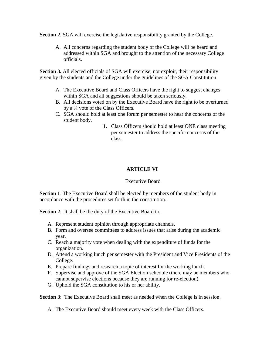**Section 2.** SGA will exercise the legislative responsibility granted by the College.

A. All concerns regarding the student body of the College will be heard and addressed within SGA and brought to the attention of the necessary College officials.

**Section 3.** All elected officials of SGA will exercise, not exploit, their responsibility given by the students and the College under the guidelines of the SGA Constitution.

- A. The Executive Board and Class Officers have the right to suggest changes within SGA and all suggestions should be taken seriously.
- B. All decisions voted on by the Executive Board have the right to be overturned by a ¾ vote of the Class Officers.
- C. SGA should hold at least one forum per semester to hear the concerns of the student body.
	- 1. Class Officers should hold at least ONE class meeting per semester to address the specific concerns of the class.

# **ARTICLE VI**

## Executive Board

**Section 1**. The Executive Board shall be elected by members of the student body in accordance with the procedures set forth in the constitution.

**Section 2:** It shall be the duty of the Executive Board to:

- A. Represent student opinion through appropriate channels.
- B. Form and oversee committees to address issues that arise during the academic year.
- C. Reach a majority vote when dealing with the expenditure of funds for the organization.
- D. Attend a working lunch per semester with the President and Vice Presidents of the College.
- E. Prepare findings and research a topic of interest for the working lunch.
- F. Supervise and approve of the SGA Election schedule (there may be members who cannot supervise elections because they are running for re-election).
- G. Uphold the SGA constitution to his or her ability.

**Section 3:** The Executive Board shall meet as needed when the College is in session.

A. The Executive Board should meet every week with the Class Officers.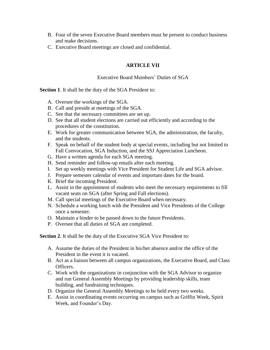- B. Four of the seven Executive Board members must be present to conduct business and make decisions.
- C. Executive Board meetings are closed and confidential.

# **ARTICLE VII**

## Executive Board Members' Duties of SGA

**Section 1**. It shall be the duty of the SGA President to:

- A. Oversee the workings of the SGA.
- B. Call and preside at meetings of the SGA.
- C. See that the necessary committees are set up.
- D. See that all student elections are carried out efficiently and according to the procedures of the constitution.
- E. Work for greater communication between SGA, the administration, the faculty, and the students.
- F. Speak on behalf of the student body at special events, including but not limited to Fall Convocation, SGA Induction, and the SSJ Appreciation Luncheon.
- G. Have a written agenda for each SGA meeting.
- H. Send reminder and follow-up emails after each meeting.
- I. Set up weekly meetings with Vice President for Student Life and SGA advisor.
- J. Prepare semester calendar of events and important dates for the board.
- K. Brief the incoming President.
- L. Assist in the appointment of students who meet the necessary requirements to fill vacant seats on SGA (after Spring and Fall elections).
- M. Call special meetings of the Executive Board when necessary.
- N. Schedule a working lunch with the President and Vice Presidents of the College once a semester.
- O. Maintain a binder to be passed down to the future Presidents.
- P. Oversee that all duties of SGA are completed.

**Section 2**. It shall be the duty of the Executive SGA Vice President to:

- A. Assume the duties of the President in his/her absence and/or the office of the President in the event it is vacated.
- B. Act as a liaison between all campus organizations, the Executive Board, and Class Officers.
- C. Work with the organizations in conjunction with the SGA Advisor to organize and run General Assembly Meetings by providing leadership skills, team building, and fundraising techniques.
- D. Organize the General Assembly Meetings to be held every two weeks.
- E. Assist in coordinating events occurring on campus such as Griffin Week, Spirit Week, and Founder's Day.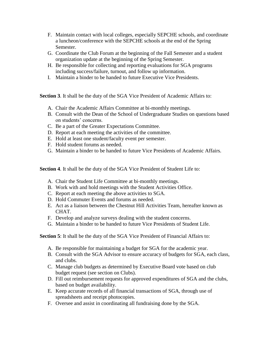- F. Maintain contact with local colleges, especially SEPCHE schools, and coordinate a luncheon/conference with the SEPCHE schools at the end of the Spring Semester.
- G. Coordinate the Club Forum at the beginning of the Fall Semester and a student organization update at the beginning of the Spring Semester.
- H. Be responsible for collecting and reporting evaluations for SGA programs including success/failure, turnout, and follow up information.
- I. Maintain a binder to be handed to future Executive Vice Presidents.

**Section 3**. It shall be the duty of the SGA Vice President of Academic Affairs to:

- A. Chair the Academic Affairs Committee at bi-monthly meetings.
- B. Consult with the Dean of the School of Undergraduate Studies on questions based on students' concerns.
- C. Be a part of the Greater Expectations Committee.
- D. Report at each meeting the activities of the committee.
- E. Hold at least one student/faculty event per semester.
- F. Hold student forums as needed.
- G. Maintain a binder to be handed to future Vice Presidents of Academic Affairs.

**Section 4**. It shall be the duty of the SGA Vice President of Student Life to:

- A. Chair the Student Life Committee at bi-monthly meetings.
- B. Work with and hold meetings with the Student Activities Office.
- C. Report at each meeting the above activities to SGA.
- D. Hold Commuter Events and forums as needed.
- E. Act as a liaison between the Chestnut Hill Activities Team, hereafter known as CHAT.
- F. Develop and analyze surveys dealing with the student concerns.
- G. Maintain a binder to be handed to future Vice Presidents of Student Life.

**Section 5**: It shall be the duty of the SGA Vice President of Financial Affairs to:

- A. Be responsible for maintaining a budget for SGA for the academic year.
- B. Consult with the SGA Advisor to ensure accuracy of budgets for SGA, each class, and clubs.
- C. Manage club budgets as determined by Executive Board vote based on club budget request (see section on Clubs).
- D. Fill out reimbursement requests for approved expenditures of SGA and the clubs, based on budget availability.
- E. Keep accurate records of all financial transactions of SGA, through use of spreadsheets and receipt photocopies.
- F. Oversee and assist in coordinating all fundraising done by the SGA.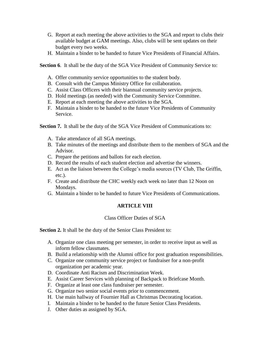- G. Report at each meeting the above activities to the SGA and report to clubs their available budget at GAM meetings. Also, clubs will be sent updates on their budget every two weeks.
- H. Maintain a binder to be handed to future Vice Presidents of Financial Affairs.

**Section 6.** It shall be the duty of the SGA Vice President of Community Service to:

- A. Offer community service opportunities to the student body.
- B. Consult with the Campus Ministry Office for collaboration.
- C. Assist Class Officers with their biannual community service projects.
- D. Hold meetings (as needed) with the Community Service Committee.
- E. Report at each meeting the above activities to the SGA.
- F. Maintain a binder to be handed to the future Vice Presidents of Community Service.

**Section 7.** It shall be the duty of the SGA Vice President of Communications to:

- A. Take attendance of all SGA meetings.
- B. Take minutes of the meetings and distribute them to the members of SGA and the Advisor.
- C. Prepare the petitions and ballots for each election.
- D. Record the results of each student election and advertise the winners.
- E. Act as the liaison between the College's media sources (TV Club, The Griffin, etc.).
- F. Create and distribute the CHC weekly each week no later than 12 Noon on Mondays.
- G. Maintain a binder to be handed to future Vice Presidents of Communications.

# **ARTICLE VIII**

# Class Officer Duties of SGA

**Section 2.** It shall be the duty of the Senior Class President to:

- A. Organize one class meeting per semester, in order to receive input as well as inform fellow classmates.
- B. Build a relationship with the Alumni office for post graduation responsibilities.
- C. Organize one community service project or fundraiser for a non-profit organization per academic year.
- D. Coordinate Anti Racism and Discrimination Week.
- E. Assist Career Services with planning of Backpack to Briefcase Month.
- F. Organize at least one class fundraiser per semester.
- G. Organize two senior social events prior to commencement.
- H. Use main hallway of Fournier Hall as Christmas Decorating location.
- I. Maintain a binder to be handed to the future Senior Class Presidents.
- J. Other duties as assigned by SGA.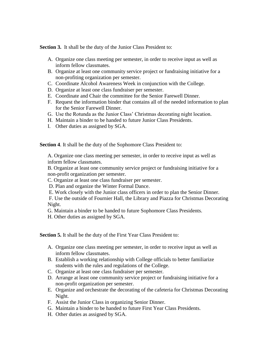**Section 3.** It shall be the duty of the Junior Class President to:

- A. Organize one class meeting per semester, in order to receive input as well as inform fellow classmates.
- B. Organize at least one community service project or fundraising initiative for a non-profiting organization per semester.
- C. Coordinate Alcohol Awareness Week in conjunction with the College.
- D. Organize at least one class fundraiser per semester.
- E. Coordinate and Chair the committee for the Senior Farewell Dinner.
- F. Request the information binder that contains all of the needed information to plan for the Senior Farewell Dinner.
- G. Use the Rotunda as the Junior Class' Christmas decorating night location.
- H. Maintain a binder to be handed to future Junior Class Presidents.
- I. Other duties as assigned by SGA.

**Section 4**. It shall be the duty of the Sophomore Class President to:

A. Organize one class meeting per semester, in order to receive input as well as inform fellow classmates.

 B. Organize at least one community service project or fundraising initiative for a non-profit organization per semester.

C. Organize at least one class fundraiser per semester.

D. Plan and organize the Winter Formal Dance.

E. Work closely with the Junior class officers in order to plan the Senior Dinner.

F. Use the outside of Fournier Hall, the Library and Piazza for Christmas Decorating Night.

G. Maintain a binder to be handed to future Sophomore Class Presidents.

H. Other duties as assigned by SGA.

**Section 5.** It shall be the duty of the First Year Class President to:

- A. Organize one class meeting per semester, in order to receive input as well as inform fellow classmates.
- B. Establish a working relationship with College officials to better familiarize students with the rules and regulations of the College.
- C. Organize at least one class fundraiser per semester.
- D. Arrange at least one community service project or fundraising initiative for a non-profit organization per semester.
- E. Organize and orchestrate the decorating of the cafeteria for Christmas Decorating Night.
- F. Assist the Junior Class in organizing Senior Dinner.
- G. Maintain a binder to be handed to future First Year Class Presidents.
- H. Other duties as assigned by SGA.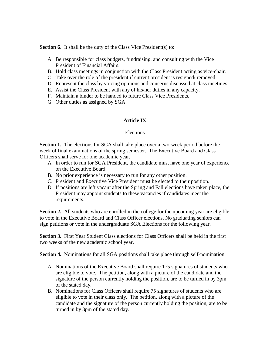**Section 6.** It shall be the duty of the Class Vice President(s) to:

- A. Be responsible for class budgets, fundraising, and consulting with the Vice President of Financial Affairs.
- B. Hold class meetings in conjunction with the Class President acting as vice-chair.
- C. Take over the role of the president if current president is resigned/ removed.
- D. Represent the class by voicing opinions and concerns discussed at class meetings.
- E. Assist the Class President with any of his/her duties in any capacity.
- F. Maintain a binder to be handed to future Class Vice Presidents.
- G. Other duties as assigned by SGA.

# **Article IX**

## Elections

**Section 1.** The elections for SGA shall take place over a two-week period before the week of final examinations of the spring semester. The Executive Board and Class Officers shall serve for one academic year.

- A. In order to run for SGA President, the candidate must have one year of experience on the Executive Board.
- B. No prior experience is necessary to run for any other position.
- C. President and Executive Vice President must be elected to their position.
- D. If positions are left vacant after the Spring and Fall elections have taken place, the President may appoint students to these vacancies if candidates meet the requirements.

**Section 2.** All students who are enrolled in the college for the upcoming year are eligible to vote in the Executive Board and Class Officer elections. No graduating seniors can sign petitions or vote in the undergraduate SGA Elections for the following year.

**Section 3.** First Year Student Class elections for Class Officers shall be held in the first two weeks of the new academic school year.

**Section 4.** Nominations for all SGA positions shall take place through self-nomination.

- A. Nominations of the Executive Board shall require 175 signatures of students who are eligible to vote. The petition, along with a picture of the candidate and the signature of the person currently holding the position, are to be turned in by 3pm of the stated day.
- B. Nominations for Class Officers shall require 75 signatures of students who are eligible to vote in their class only. The petition, along with a picture of the candidate and the signature of the person currently holding the position, are to be turned in by 3pm of the stated day.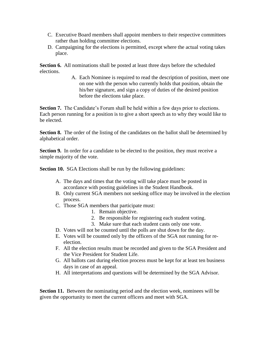- C. Executive Board members shall appoint members to their respective committees rather than holding committee elections.
- D. Campaigning for the elections is permitted, except where the actual voting takes place.

**Section 6.** All nominations shall be posted at least three days before the scheduled elections.

> A. Each Nominee is required to read the description of position, meet one on one with the person who currently holds that position, obtain the his/her signature, and sign a copy of duties of the desired position before the elections take place.

**Section 7.** The Candidate's Forum shall be held within a few days prior to elections. Each person running for a position is to give a short speech as to why they would like to be elected.

**Section 8.** The order of the listing of the candidates on the ballot shall be determined by alphabetical order.

**Section 9.** In order for a candidate to be elected to the position, they must receive a simple majority of the vote.

**Section 10.** SGA Elections shall be run by the following guidelines:

- A. The days and times that the voting will take place must be posted in accordance with posting guidelines in the Student Handbook.
- B. Only current SGA members not seeking office may be involved in the election process.
- C. Those SGA members that participate must:
	- 1. Remain objective.
	- 2. Be responsible for registering each student voting.
	- 3. Make sure that each student casts only one vote.
- D. Votes will not be counted until the polls are shut down for the day.
- E. Votes will be counted only by the officers of the SGA not running for reelection.
- F. All the election results must be recorded and given to the SGA President and the Vice President for Student Life.
- G. All ballots cast during election process must be kept for at least ten business days in case of an appeal.
- H. All interpretations and questions will be determined by the SGA Advisor.

**Section 11.** Between the nominating period and the election week, nominees will be given the opportunity to meet the current officers and meet with SGA.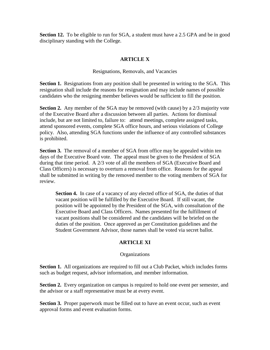**Section 12.** To be eligible to run for SGA, a student must have a 2.5 GPA and be in good disciplinary standing with the College.

# **ARTICLE X**

Resignations, Removals, and Vacancies

**Section 1.** Resignations from any position shall be presented in writing to the SGA. This resignation shall include the reasons for resignation and may include names of possible candidates who the resigning member believes would be sufficient to fill the position.

**Section 2.** Any member of the SGA may be removed (with cause) by a 2/3 majority vote of the Executive Board after a discussion between all parties. Actions for dismissal include, but are not limited to, failure to: attend meetings, complete assigned tasks, attend sponsored events, complete SGA office hours, and serious violations of College policy. Also, attending SGA functions under the influence of any controlled substances is prohibited.

**Section 3.** The removal of a member of SGA from office may be appealed within ten days of the Executive Board vote. The appeal must be given to the President of SGA during that time period. A 2/3 vote of all the members of SGA (Executive Board and Class Officers) is necessary to overturn a removal from office. Reasons for the appeal shall be submitted in writing by the removed member to the voting members of SGA for review.

**Section 4.** In case of a vacancy of any elected office of SGA, the duties of that vacant position will be fulfilled by the Executive Board. If still vacant, the position will be appointed by the President of the SGA, with consultation of the Executive Board and Class Officers. Names presented for the fulfillment of vacant positions shall be considered and the candidates will be briefed on the duties of the position. Once approved as per Constitution guidelines and the Student Government Advisor, those names shall be voted via secret ballot.

# **ARTICLE XI**

## **Organizations**

**Section 1.** All organizations are required to fill out a Club Packet, which includes forms such as budget request, advisor information, and member information.

**Section 2.** Every organization on campus is required to hold one event per semester, and the advisor or a staff representative must be at every event.

**Section 3.** Proper paperwork must be filled out to have an event occur, such as event approval forms and event evaluation forms.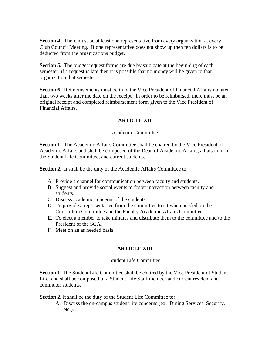**Section 4.** There must be at least one representative from every organization at every Club Council Meeting. If one representative does not show up then ten dollars is to be deducted from the organizations budget.

**Section 5.** The budget request forms are due by said date at the beginning of each semester; if a request is late then it is possible that no money will be given to that organization that semester.

**Section 6.** Reimbursements must be in to the Vice President of Financial Affairs no later than two weeks after the date on the receipt. In order to be reimbursed, there must be an original receipt and completed reimbursement form given to the Vice President of Financial Affairs.

# **ARTICLE XII**

#### Academic Committee

**Section 1.** The Academic Affairs Committee shall be chaired by the Vice President of Academic Affairs and shall be composed of the Dean of Academic Affairs, a liaison from the Student Life Committee, and current students.

Section 2. It shall be the duty of the Academic Affairs Committee to:

- A. Provide a channel for communication between faculty and students.
- B. Suggest and provide social events to foster interaction between faculty and students.
- C. Discuss academic concerns of the students.
- D. To provide a representative from the committee to sit when needed on the Curriculum Committee and the Faculty Academic Affairs Committee.
- E. To elect a member to take minutes and distribute them to the committee and to the President of the SGA.
- F. Meet on an as needed basis.

## **ARTICLE XIII**

#### Student Life Committee

**Section 1**. The Student Life Committee shall be chaired by the Vice President of Student Life, and shall be composed of a Student Life Staff member and current resident and commuter students.

**Section 2.** It shall be the duty of the Student Life Committee to:

A. Discuss the on-campus student life concerns (ex: Dining Services, Security, etc.).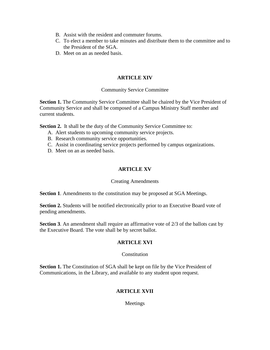- B. Assist with the resident and commuter forums.
- C. To elect a member to take minutes and distribute them to the committee and to the President of the SGA.
- D. Meet on an as needed basis.

## **ARTICLE XIV**

## Community Service Committee

**Section 1.** The Community Service Committee shall be chaired by the Vice President of Community Service and shall be composed of a Campus Ministry Staff member and current students.

Section 2. It shall be the duty of the Community Service Committee to:

- A. Alert students to upcoming community service projects.
- B. Research community service opportunities.
- C. Assist in coordinating service projects performed by campus organizations.
- D. Meet on an as needed basis.

## **ARTICLE XV**

## Creating Amendments

**Section 1**. Amendments to the constitution may be proposed at SGA Meetings.

**Section 2.** Students will be notified electronically prior to an Executive Board vote of pending amendments.

**Section 3**. An amendment shall require an affirmative vote of 2/3 of the ballots cast by the Executive Board. The vote shall be by secret ballot.

## **ARTICLE XVI**

## **Constitution**

**Section 1.** The Constitution of SGA shall be kept on file by the Vice President of Communications, in the Library, and available to any student upon request.

# **ARTICLE XVII**

Meetings